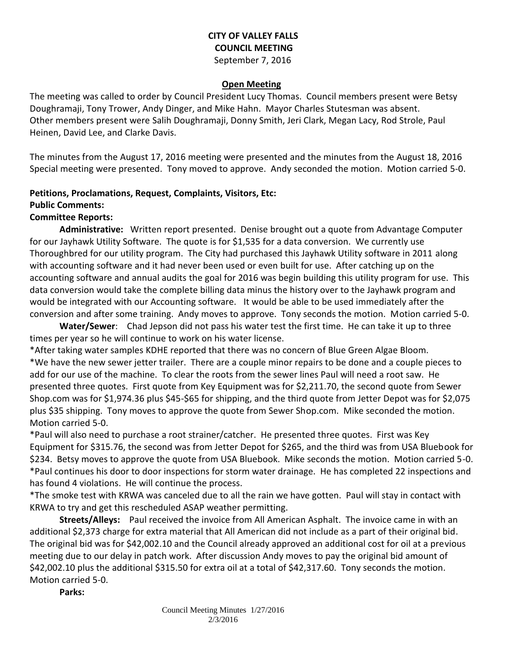### **CITY OF VALLEY FALLS COUNCIL MEETING** September 7, 2016

#### **Open Meeting**

The meeting was called to order by Council President Lucy Thomas. Council members present were Betsy Doughramaji, Tony Trower, Andy Dinger, and Mike Hahn. Mayor Charles Stutesman was absent. Other members present were Salih Doughramaji, Donny Smith, Jeri Clark, Megan Lacy, Rod Strole, Paul Heinen, David Lee, and Clarke Davis.

The minutes from the August 17, 2016 meeting were presented and the minutes from the August 18, 2016 Special meeting were presented. Tony moved to approve. Andy seconded the motion. Motion carried 5-0.

# **Petitions, Proclamations, Request, Complaints, Visitors, Etc:**

## **Public Comments:**

### **Committee Reports:**

**Administrative:** Written report presented. Denise brought out a quote from Advantage Computer for our Jayhawk Utility Software. The quote is for \$1,535 for a data conversion. We currently use Thoroughbred for our utility program. The City had purchased this Jayhawk Utility software in 2011 along with accounting software and it had never been used or even built for use. After catching up on the accounting software and annual audits the goal for 2016 was begin building this utility program for use. This data conversion would take the complete billing data minus the history over to the Jayhawk program and would be integrated with our Accounting software. It would be able to be used immediately after the conversion and after some training. Andy moves to approve. Tony seconds the motion. Motion carried 5-0.

**Water/Sewer**: Chad Jepson did not pass his water test the first time. He can take it up to three times per year so he will continue to work on his water license.

\*After taking water samples KDHE reported that there was no concern of Blue Green Algae Bloom. \*We have the new sewer jetter trailer. There are a couple minor repairs to be done and a couple pieces to add for our use of the machine. To clear the roots from the sewer lines Paul will need a root saw. He presented three quotes. First quote from Key Equipment was for \$2,211.70, the second quote from Sewer Shop.com was for \$1,974.36 plus \$45-\$65 for shipping, and the third quote from Jetter Depot was for \$2,075 plus \$35 shipping. Tony moves to approve the quote from Sewer Shop.com. Mike seconded the motion. Motion carried 5-0.

\*Paul will also need to purchase a root strainer/catcher. He presented three quotes. First was Key Equipment for \$315.76, the second was from Jetter Depot for \$265, and the third was from USA Bluebook for \$234. Betsy moves to approve the quote from USA Bluebook. Mike seconds the motion. Motion carried 5-0. \*Paul continues his door to door inspections for storm water drainage. He has completed 22 inspections and has found 4 violations. He will continue the process.

\*The smoke test with KRWA was canceled due to all the rain we have gotten. Paul will stay in contact with KRWA to try and get this rescheduled ASAP weather permitting.

**Streets/Alleys:** Paul received the invoice from All American Asphalt. The invoice came in with an additional \$2,373 charge for extra material that All American did not include as a part of their original bid. The original bid was for \$42,002.10 and the Council already approved an additional cost for oil at a previous meeting due to our delay in patch work. After discussion Andy moves to pay the original bid amount of \$42,002.10 plus the additional \$315.50 for extra oil at a total of \$42,317.60. Tony seconds the motion. Motion carried 5-0.

**Parks:**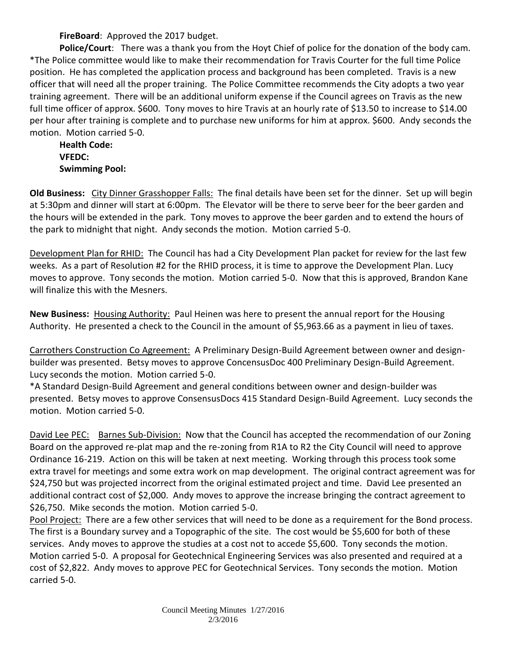**FireBoard**: Approved the 2017 budget.

**Police/Court**: There was a thank you from the Hoyt Chief of police for the donation of the body cam. \*The Police committee would like to make their recommendation for Travis Courter for the full time Police position. He has completed the application process and background has been completed. Travis is a new officer that will need all the proper training. The Police Committee recommends the City adopts a two year training agreement. There will be an additional uniform expense if the Council agrees on Travis as the new full time officer of approx. \$600. Tony moves to hire Travis at an hourly rate of \$13.50 to increase to \$14.00 per hour after training is complete and to purchase new uniforms for him at approx. \$600. Andy seconds the motion. Motion carried 5-0.

**Health Code: VFEDC: Swimming Pool:** 

**Old Business:** City Dinner Grasshopper Falls: The final details have been set for the dinner. Set up will begin at 5:30pm and dinner will start at 6:00pm. The Elevator will be there to serve beer for the beer garden and the hours will be extended in the park. Tony moves to approve the beer garden and to extend the hours of the park to midnight that night. Andy seconds the motion. Motion carried 5-0.

Development Plan for RHID: The Council has had a City Development Plan packet for review for the last few weeks. As a part of Resolution #2 for the RHID process, it is time to approve the Development Plan. Lucy moves to approve. Tony seconds the motion. Motion carried 5-0. Now that this is approved, Brandon Kane will finalize this with the Mesners.

**New Business:** Housing Authority: Paul Heinen was here to present the annual report for the Housing Authority. He presented a check to the Council in the amount of \$5,963.66 as a payment in lieu of taxes.

Carrothers Construction Co Agreement: A Preliminary Design-Build Agreement between owner and designbuilder was presented. Betsy moves to approve ConcensusDoc 400 Preliminary Design-Build Agreement. Lucy seconds the motion. Motion carried 5-0.

\*A Standard Design-Build Agreement and general conditions between owner and design-builder was presented. Betsy moves to approve ConsensusDocs 415 Standard Design-Build Agreement. Lucy seconds the motion. Motion carried 5-0.

David Lee PEC: Barnes Sub-Division: Now that the Council has accepted the recommendation of our Zoning Board on the approved re-plat map and the re-zoning from R1A to R2 the City Council will need to approve Ordinance 16-219. Action on this will be taken at next meeting. Working through this process took some extra travel for meetings and some extra work on map development. The original contract agreement was for \$24,750 but was projected incorrect from the original estimated project and time. David Lee presented an additional contract cost of \$2,000. Andy moves to approve the increase bringing the contract agreement to \$26,750. Mike seconds the motion. Motion carried 5-0.

Pool Project: There are a few other services that will need to be done as a requirement for the Bond process. The first is a Boundary survey and a Topographic of the site. The cost would be \$5,600 for both of these services. Andy moves to approve the studies at a cost not to accede \$5,600. Tony seconds the motion. Motion carried 5-0. A proposal for Geotechnical Engineering Services was also presented and required at a cost of \$2,822. Andy moves to approve PEC for Geotechnical Services. Tony seconds the motion. Motion carried 5-0.